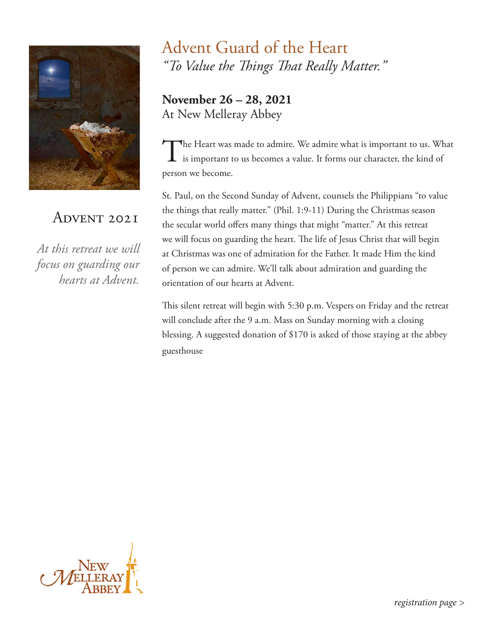

## ADVENT 2021

*At this retreat we will focus on guarding our hearts at Advent.* 

## Advent Guard of the Heart *"To Value the Things That Really Matter."*

**November 26 – 28, 2021** At New Melleray Abbey

The Heart was made to admire. We admire what is important to us. What is important to us becomes a value. It forms our character, the kind of person we become.

St. Paul, on the Second Sunday of Advent, counsels the Philippians "to value the things that really matter." (Phil. 1:9-11) During the Christmas season the secular world offers many things that might "matter." At this retreat we will focus on guarding the heart. The life of Jesus Christ that will begin at Christmas was one of admiration for the Father. It made Him the kind of person we can admire. We'll talk about admiration and guarding the orientation of our hearts at Advent.

This silent retreat will begin with 5:30 p.m. Vespers on Friday and the retreat will conclude after the 9 a.m. Mass on Sunday morning with a closing blessing. A suggested donation of \$170 is asked of those staying at the abbey guesthouse